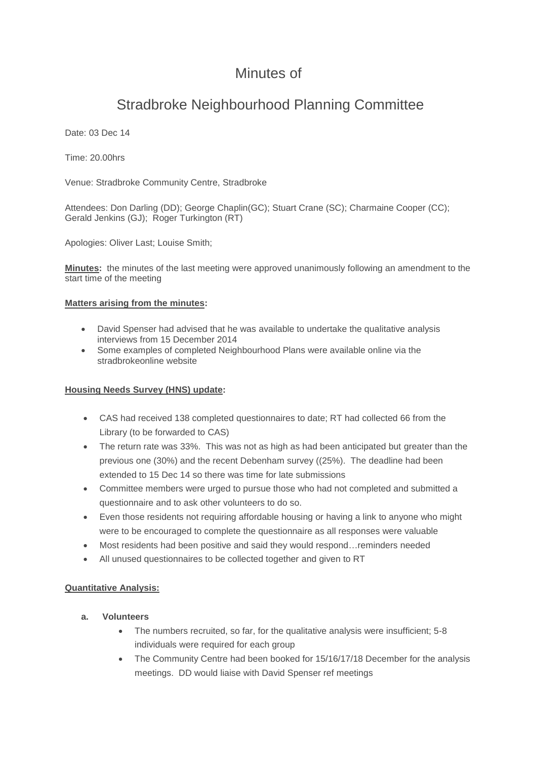# Minutes of

# Stradbroke Neighbourhood Planning Committee

Date: 03 Dec 14

Time: 20.00hrs

Venue: Stradbroke Community Centre, Stradbroke

Attendees: Don Darling (DD); George Chaplin(GC); Stuart Crane (SC); Charmaine Cooper (CC); Gerald Jenkins (GJ); Roger Turkington (RT)

Apologies: Oliver Last; Louise Smith;

**Minutes:** the minutes of the last meeting were approved unanimously following an amendment to the start time of the meeting

#### **Matters arising from the minutes:**

- David Spenser had advised that he was available to undertake the qualitative analysis interviews from 15 December 2014
- Some examples of completed Neighbourhood Plans were available online via the stradbrokeonline website

#### **Housing Needs Survey (HNS) update:**

- CAS had received 138 completed questionnaires to date; RT had collected 66 from the Library (to be forwarded to CAS)
- The return rate was 33%. This was not as high as had been anticipated but greater than the previous one (30%) and the recent Debenham survey ((25%). The deadline had been extended to 15 Dec 14 so there was time for late submissions
- Committee members were urged to pursue those who had not completed and submitted a questionnaire and to ask other volunteers to do so.
- Even those residents not requiring affordable housing or having a link to anyone who might were to be encouraged to complete the questionnaire as all responses were valuable
- Most residents had been positive and said they would respond…reminders needed
- All unused questionnaires to be collected together and given to RT

### **Quantitative Analysis:**

- **a. Volunteers**
	- The numbers recruited, so far, for the qualitative analysis were insufficient; 5-8 individuals were required for each group
	- The Community Centre had been booked for 15/16/17/18 December for the analysis meetings. DD would liaise with David Spenser ref meetings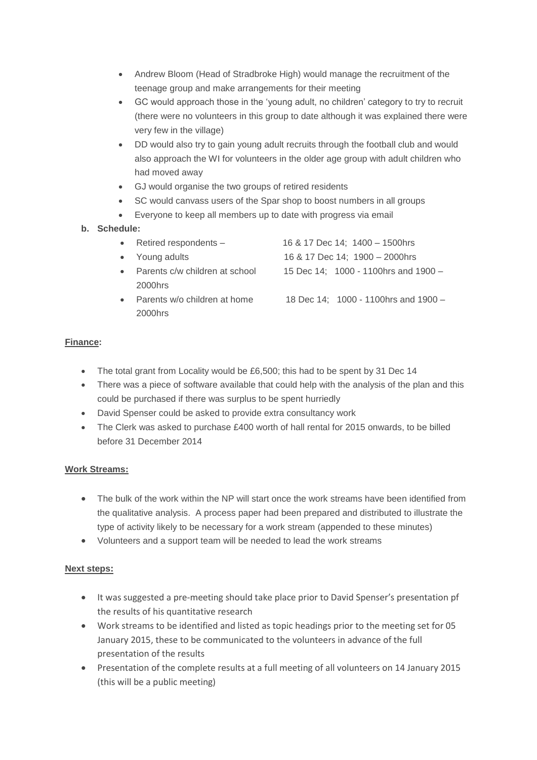- Andrew Bloom (Head of Stradbroke High) would manage the recruitment of the teenage group and make arrangements for their meeting
- GC would approach those in the 'young adult, no children' category to try to recruit (there were no volunteers in this group to date although it was explained there were very few in the village)
- DD would also try to gain young adult recruits through the football club and would also approach the WI for volunteers in the older age group with adult children who had moved away
- GJ would organise the two groups of retired residents
- SC would canvass users of the Spar shop to boost numbers in all groups
- Everyone to keep all members up to date with progress via email

### **b. Schedule:**

| Retired respondents -          | 16 & 17 Dec 14; 1400 - 1500hrs          |
|--------------------------------|-----------------------------------------|
| Young adults                   | 16 & 17 Dec 14; 1900 - 2000hrs          |
| Parents c/w children at school | 15 Dec 14; 1000 - 1100 hrs and $1900 -$ |
| 2000hrs                        |                                         |
| Parents w/o children at home   | 18 Dec 14; 1000 - 1100 hrs and 1900 -   |
| 2000hrs                        |                                         |

## **Finance:**

- The total grant from Locality would be £6,500; this had to be spent by 31 Dec 14
- There was a piece of software available that could help with the analysis of the plan and this could be purchased if there was surplus to be spent hurriedly
- David Spenser could be asked to provide extra consultancy work
- The Clerk was asked to purchase £400 worth of hall rental for 2015 onwards, to be billed before 31 December 2014

### **Work Streams:**

- The bulk of the work within the NP will start once the work streams have been identified from the qualitative analysis. A process paper had been prepared and distributed to illustrate the type of activity likely to be necessary for a work stream (appended to these minutes)
- Volunteers and a support team will be needed to lead the work streams

### **Next steps:**

- It was suggested a pre-meeting should take place prior to David Spenser's presentation pf the results of his quantitative research
- Work streams to be identified and listed as topic headings prior to the meeting set for 05 January 2015, these to be communicated to the volunteers in advance of the full presentation of the results
- Presentation of the complete results at a full meeting of all volunteers on 14 January 2015 (this will be a public meeting)